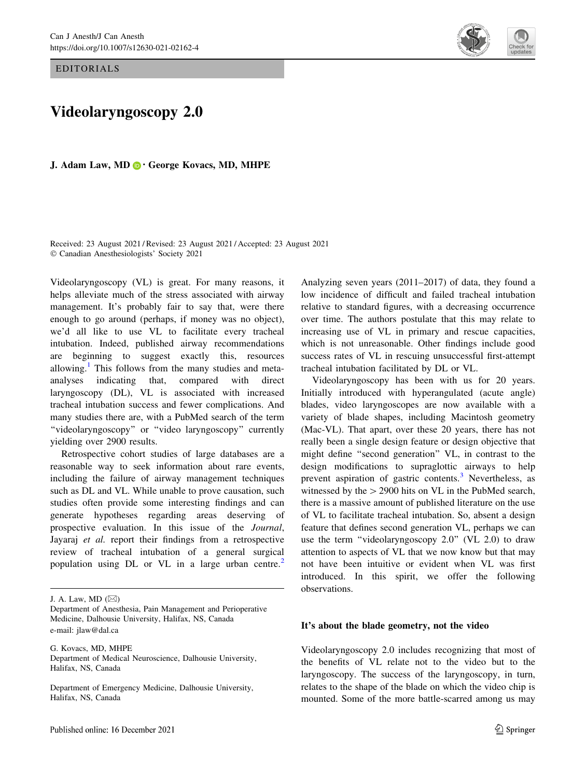EDITORIALS

# Videolaryngoscopy 2.0



J. Adam Law, MD  $\bigcirc$  George Kovacs, MD, MHPE

Received: 23 August 2021 / Revised: 23 August 2021 / Accepted: 23 August 2021 © Canadian Anesthesiologists' Society 2021

Videolaryngoscopy (VL) is great. For many reasons, it helps alleviate much of the stress associated with airway management. It's probably fair to say that, were there enough to go around (perhaps, if money was no object), we'd all like to use VL to facilitate every tracheal intubation. Indeed, published airway recommendations are beginning to suggest exactly this, resources allowing.<sup>[1](#page-6-0)</sup> This follows from the many studies and metaanalyses indicating that, compared with direct laryngoscopy (DL), VL is associated with increased tracheal intubation success and fewer complications. And many studies there are, with a PubMed search of the term ''videolaryngoscopy'' or ''video laryngoscopy'' currently yielding over 2900 results.

Retrospective cohort studies of large databases are a reasonable way to seek information about rare events, including the failure of airway management techniques such as DL and VL. While unable to prove causation, such studies often provide some interesting findings and can generate hypotheses regarding areas deserving of prospective evaluation. In this issue of the Journal, Jayaraj et al. report their findings from a retrospective review of tracheal intubation of a general surgical population using DL or VL in a large urban centre.<sup>[2](#page-6-0)</sup>

G. Kovacs, MD, MHPE Department of Medical Neuroscience, Dalhousie University, Halifax, NS, Canada

Department of Emergency Medicine, Dalhousie University, Halifax, NS, Canada

Analyzing seven years (2011–2017) of data, they found a low incidence of difficult and failed tracheal intubation relative to standard figures, with a decreasing occurrence over time. The authors postulate that this may relate to increasing use of VL in primary and rescue capacities, which is not unreasonable. Other findings include good success rates of VL in rescuing unsuccessful first-attempt tracheal intubation facilitated by DL or VL.

Videolaryngoscopy has been with us for 20 years. Initially introduced with hyperangulated (acute angle) blades, video laryngoscopes are now available with a variety of blade shapes, including Macintosh geometry (Mac-VL). That apart, over these 20 years, there has not really been a single design feature or design objective that might define ''second generation'' VL, in contrast to the design modifications to supraglottic airways to help prevent aspiration of gastric contents.<sup>[3](#page-6-0)</sup> Nevertheless, as witnessed by the  $>$  2900 hits on VL in the PubMed search, there is a massive amount of published literature on the use of VL to facilitate tracheal intubation. So, absent a design feature that defines second generation VL, perhaps we can use the term "videolaryngoscopy 2.0" (VL 2.0) to draw attention to aspects of VL that we now know but that may not have been intuitive or evident when VL was first introduced. In this spirit, we offer the following observations.

## It's about the blade geometry, not the video

Videolaryngoscopy 2.0 includes recognizing that most of the benefits of VL relate not to the video but to the laryngoscopy. The success of the laryngoscopy, in turn, relates to the shape of the blade on which the video chip is mounted. Some of the more battle-scarred among us may

J. A. Law, MD  $(\boxtimes)$ 

Department of Anesthesia, Pain Management and Perioperative Medicine, Dalhousie University, Halifax, NS, Canada e-mail: jlaw@dal.ca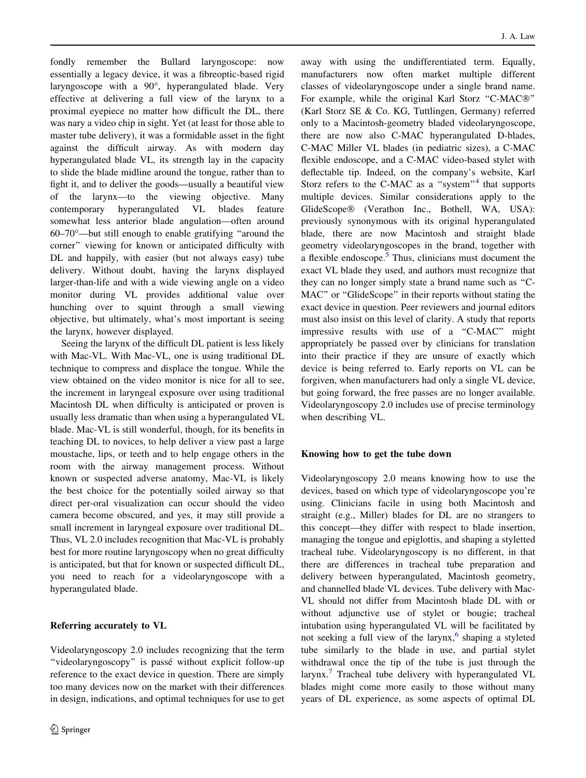fondly remember the Bullard laryngoscope: now essentially a legacy device, it was a fibreoptic-based rigid laryngoscope with a  $90^\circ$ , hyperangulated blade. Very effective at delivering a full view of the larynx to a proximal eyepiece no matter how difficult the DL, there was nary a video chip in sight. Yet (at least for those able to master tube delivery), it was a formidable asset in the fight against the difficult airway. As with modern day hyperangulated blade VL, its strength lay in the capacity to slide the blade midline around the tongue, rather than to fight it, and to deliver the goods—usually a beautiful view of the larynx—to the viewing objective. Many contemporary hyperangulated VL blades feature somewhat less anterior blade angulation—often around  $60-70^{\circ}$ —but still enough to enable gratifying "around the corner'' viewing for known or anticipated difficulty with DL and happily, with easier (but not always easy) tube delivery. Without doubt, having the larynx displayed larger-than-life and with a wide viewing angle on a video monitor during VL provides additional value over hunching over to squint through a small viewing objective, but ultimately, what's most important is seeing the larynx, however displayed.

Seeing the larynx of the difficult DL patient is less likely with Mac-VL. With Mac-VL, one is using traditional DL technique to compress and displace the tongue. While the view obtained on the video monitor is nice for all to see, the increment in laryngeal exposure over using traditional Macintosh DL when difficulty is anticipated or proven is usually less dramatic than when using a hyperangulated VL blade. Mac-VL is still wonderful, though, for its benefits in teaching DL to novices, to help deliver a view past a large moustache, lips, or teeth and to help engage others in the room with the airway management process. Without known or suspected adverse anatomy, Mac-VL is likely the best choice for the potentially soiled airway so that direct per-oral visualization can occur should the video camera become obscured, and yes, it may still provide a small increment in laryngeal exposure over traditional DL. Thus, VL 2.0 includes recognition that Mac-VL is probably best for more routine laryngoscopy when no great difficulty is anticipated, but that for known or suspected difficult DL, you need to reach for a videolaryngoscope with a hyperangulated blade.

# Referring accurately to VL

Videolaryngoscopy 2.0 includes recognizing that the term "videolaryngoscopy" is passé without explicit follow-up reference to the exact device in question. There are simply too many devices now on the market with their differences in design, indications, and optimal techniques for use to get

away with using the undifferentiated term. Equally, manufacturers now often market multiple different classes of videolaryngoscope under a single brand name. For example, while the original Karl Storz "C-MAC®" (Karl Storz SE & Co. KG, Tuttlingen, Germany) referred only to a Macintosh-geometry bladed videolaryngoscope, there are now also C-MAC hyperangulated D-blades, C-MAC Miller VL blades (in pediatric sizes), a C-MAC flexible endoscope, and a C-MAC video-based stylet with deflectable tip. Indeed, on the company's website, Karl Storz refers to the C-MAC as a "system"<sup>[4](#page-6-0)</sup> that supports multiple devices. Similar considerations apply to the GlideScope® (Verathon Inc., Bothell, WA, USA): previously synonymous with its original hyperangulated blade, there are now Macintosh and straight blade geometry videolaryngoscopes in the brand, together with a flexible endoscope.[5](#page-6-0) Thus, clinicians must document the exact VL blade they used, and authors must recognize that they can no longer simply state a brand name such as ''C-MAC" or "GlideScope" in their reports without stating the exact device in question. Peer reviewers and journal editors must also insist on this level of clarity. A study that reports impressive results with use of a ''C-MAC'' might appropriately be passed over by clinicians for translation into their practice if they are unsure of exactly which device is being referred to. Early reports on VL can be forgiven, when manufacturers had only a single VL device, but going forward, the free passes are no longer available. Videolaryngoscopy 2.0 includes use of precise terminology when describing VL.

# Knowing how to get the tube down

Videolaryngoscopy 2.0 means knowing how to use the devices, based on which type of videolaryngoscope you're using. Clinicians facile in using both Macintosh and straight (e.g., Miller) blades for DL are no strangers to this concept—they differ with respect to blade insertion, managing the tongue and epiglottis, and shaping a styletted tracheal tube. Videolaryngoscopy is no different, in that there are differences in tracheal tube preparation and delivery between hyperangulated, Macintosh geometry, and channelled blade VL devices. Tube delivery with Mac-VL should not differ from Macintosh blade DL with or without adjunctive use of stylet or bougie; tracheal intubation using hyperangulated VL will be facilitated by not seeking a full view of the larynx, $6$  shaping a styleted tube similarly to the blade in use, and partial stylet withdrawal once the tip of the tube is just through the larynx.<sup>[7](#page-6-0)</sup> Tracheal tube delivery with hyperangulated VL blades might come more easily to those without many years of DL experience, as some aspects of optimal DL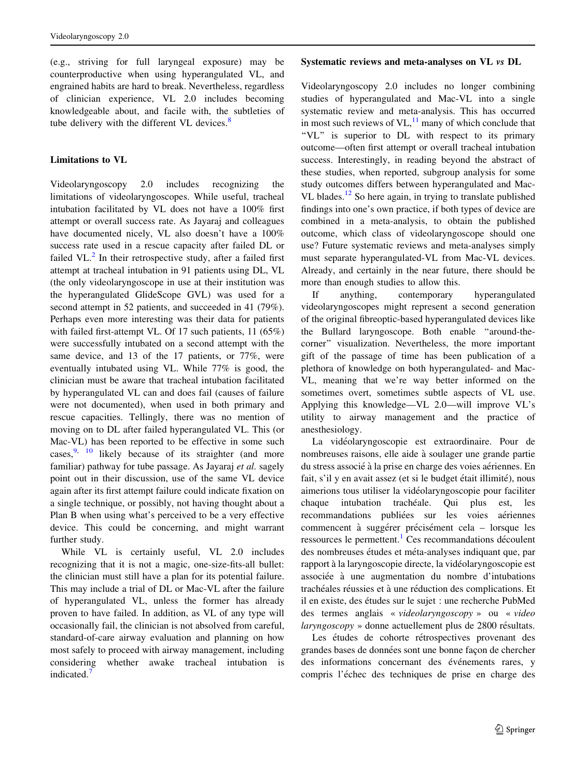(e.g., striving for full laryngeal exposure) may be counterproductive when using hyperangulated VL, and engrained habits are hard to break. Nevertheless, regardless of clinician experience, VL 2.0 includes becoming knowledgeable about, and facile with, the subtleties of tube delivery with the different VL devices. $8$ 

# Limitations to VL

Videolaryngoscopy 2.0 includes recognizing the limitations of videolaryngoscopes. While useful, tracheal intubation facilitated by VL does not have a 100% first attempt or overall success rate. As Jayaraj and colleagues have documented nicely, VL also doesn't have a 100% success rate used in a rescue capacity after failed DL or failed VL $^{2}$  $^{2}$  $^{2}$  In their retrospective study, after a failed first attempt at tracheal intubation in 91 patients using DL, VL (the only videolaryngoscope in use at their institution was the hyperangulated GlideScope GVL) was used for a second attempt in 52 patients, and succeeded in 41 (79%). Perhaps even more interesting was their data for patients with failed first-attempt VL. Of 17 such patients, 11 (65%) were successfully intubated on a second attempt with the same device, and 13 of the 17 patients, or 77%, were eventually intubated using VL. While 77% is good, the clinician must be aware that tracheal intubation facilitated by hyperangulated VL can and does fail (causes of failure were not documented), when used in both primary and rescue capacities. Tellingly, there was no mention of moving on to DL after failed hyperangulated VL. This (or Mac-VL) has been reported to be effective in some such cases,<sup>[9](#page-6-0), [10](#page-6-0)</sup> likely because of its straighter (and more familiar) pathway for tube passage. As Jayaraj et al. sagely point out in their discussion, use of the same VL device again after its first attempt failure could indicate fixation on a single technique, or possibly, not having thought about a Plan B when using what's perceived to be a very effective device. This could be concerning, and might warrant further study.

While VL is certainly useful, VL 2.0 includes recognizing that it is not a magic, one-size-fits-all bullet: the clinician must still have a plan for its potential failure. This may include a trial of DL or Mac-VL after the failure of hyperangulated VL, unless the former has already proven to have failed. In addition, as VL of any type will occasionally fail, the clinician is not absolved from careful, standard-of-care airway evaluation and planning on how most safely to proceed with airway management, including considering whether awake tracheal intubation is indicated.<sup>[7](#page-6-0)</sup>

#### Systematic reviews and meta-analyses on VL vs DL

Videolaryngoscopy 2.0 includes no longer combining studies of hyperangulated and Mac-VL into a single systematic review and meta-analysis. This has occurred in most such reviews of  $VL<sub>1</sub><sup>11</sup>$  $VL<sub>1</sub><sup>11</sup>$  $VL<sub>1</sub><sup>11</sup>$  many of which conclude that "VL" is superior to DL with respect to its primary outcome—often first attempt or overall tracheal intubation success. Interestingly, in reading beyond the abstract of these studies, when reported, subgroup analysis for some study outcomes differs between hyperangulated and Mac-VL blades.<sup>[12](#page-6-0)</sup> So here again, in trying to translate published findings into one's own practice, if both types of device are combined in a meta-analysis, to obtain the published outcome, which class of videolaryngoscope should one use? Future systematic reviews and meta-analyses simply must separate hyperangulated-VL from Mac-VL devices. Already, and certainly in the near future, there should be more than enough studies to allow this.

If anything, contemporary hyperangulated videolaryngoscopes might represent a second generation of the original fibreoptic-based hyperangulated devices like the Bullard laryngoscope. Both enable ''around-thecorner'' visualization. Nevertheless, the more important gift of the passage of time has been publication of a plethora of knowledge on both hyperangulated- and Mac-VL, meaning that we're way better informed on the sometimes overt, sometimes subtle aspects of VL use. Applying this knowledge—VL 2.0—will improve VL's utility to airway management and the practice of anesthesiology.

La vidéolaryngoscopie est extraordinaire. Pour de nombreuses raisons, elle aide à soulager une grande partie du stress associé à la prise en charge des voies aériennes. En fait, s'il y en avait assez (et si le budget était illimité), nous aimerions tous utiliser la vidéolaryngoscopie pour faciliter chaque intubation trachéale. Qui plus est, les recommandations publiées sur les voies aériennes commencent à suggérer précisément cela – lorsque les ressources le permettent.<sup>1</sup> Ces recommandations découlent des nombreuses études et méta-analyses indiquant que, par rapport à la laryngoscopie directe, la vidéolaryngoscopie est associée à une augmentation du nombre d'intubations trachéales réussies et à une réduction des complications. Et il en existe, des études sur le sujet : une recherche PubMed des termes anglais « videolaryngoscopy » ou « video laryngoscopy » donne actuellement plus de 2800 résultats.

Les études de cohorte rétrospectives provenant des grandes bases de données sont une bonne façon de chercher des informations concernant des événements rares, y compris l'échec des techniques de prise en charge des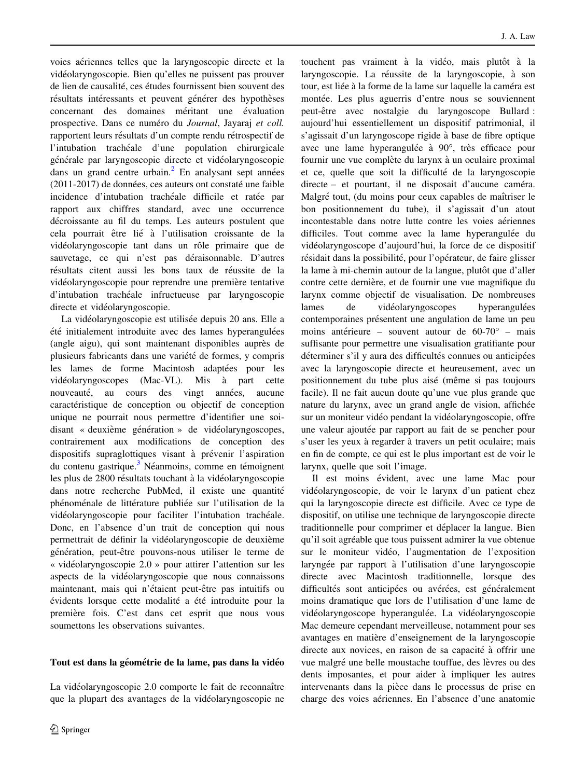voies aériennes telles que la laryngoscopie directe et la vidéolaryngoscopie. Bien qu'elles ne puissent pas prouver de lien de causalité, ces études fournissent bien souvent des résultats intéressants et peuvent générer des hypothèses concernant des domaines méritant une évaluation prospective. Dans ce numéro du Journal, Jayaraj et coll. rapportent leurs résultats d'un compte rendu rétrospectif de l'intubation trachéale d'une population chirurgicale générale par laryngoscopie directe et vidéolaryngoscopie dans un grand centre urbain. $<sup>2</sup>$  $<sup>2</sup>$  $<sup>2</sup>$  En analysant sept années</sup>  $(2011-2017)$  de données, ces auteurs ont constaté une faible incidence d'intubation trachéale difficile et ratée par rapport aux chiffres standard, avec une occurrence décroissante au fil du temps. Les auteurs postulent que cela pourrait être lié à l'utilisation croissante de la vidéolaryngoscopie tant dans un rôle primaire que de sauvetage, ce qui n'est pas déraisonnable. D'autres résultats citent aussi les bons taux de réussite de la vidéolaryngoscopie pour reprendre une première tentative d'intubation trachéale infructueuse par laryngoscopie directe et vidéolaryngoscopie.

La vidéolaryngoscopie est utilisée depuis 20 ans. Elle a été initialement introduite avec des lames hyperangulées (angle aigu), qui sont maintenant disponibles auprès de plusieurs fabricants dans une variété de formes, y compris les lames de forme Macintosh adaptées pour les vidéolaryngoscopes (Mac-VL). Mis à part cette nouveauté, au cours des vingt années, aucune caractéristique de conception ou objectif de conception unique ne pourrait nous permettre d'identifier une soidisant « deuxième génération » de vidéolaryngoscopes, contrairement aux modifications de conception des dispositifs supraglottiques visant à prévenir l'aspiration du contenu gastrique. $3$  Néanmoins, comme en témoignent les plus de 2800 résultats touchant à la vidéolaryngoscopie dans notre recherche PubMed, il existe une quantité phénoménale de littérature publiée sur l'utilisation de la vidéolaryngoscopie pour faciliter l'intubation trachéale. Donc, en l'absence d'un trait de conception qui nous permettrait de définir la vidéolaryngoscopie de deuxième génération, peut-être pouvons-nous utiliser le terme de « vidéolaryngoscopie  $2.0$  » pour attirer l'attention sur les aspects de la vidéolaryngoscopie que nous connaissons maintenant, mais qui n'étaient peut-être pas intuitifs ou évidents lorsque cette modalité a été introduite pour la première fois. C'est dans cet esprit que nous vous soumettons les observations suivantes.

# Tout est dans la géométrie de la lame, pas dans la vidéo

La vidéolaryngoscopie 2.0 comporte le fait de reconnaître que la plupart des avantages de la vidéolaryngoscopie ne

touchent pas vraiment à la vidéo, mais plutôt à la laryngoscopie. La réussite de la laryngoscopie, à son tour, est liée à la forme de la lame sur laquelle la caméra est montée. Les plus aguerris d'entre nous se souviennent peut-être avec nostalgie du laryngoscope Bullard : aujourd'hui essentiellement un dispositif patrimonial, il s'agissait d'un laryngoscope rigide a` base de fibre optique avec une lame hyperangulée à  $90^\circ$ , très efficace pour fournir une vue complète du larynx à un oculaire proximal et ce, quelle que soit la difficulté de la laryngoscopie  $directe - et$  pourtant, il ne disposait d'aucune caméra. Malgré tout, (du moins pour ceux capables de maîtriser le bon positionnement du tube), il s'agissait d'un atout incontestable dans notre lutte contre les voies aériennes difficiles. Tout comme avec la lame hyperangulée du vidéolaryngoscope d'aujourd'hui, la force de ce dispositif résidait dans la possibilité, pour l'opérateur, de faire glisser la lame à mi-chemin autour de la langue, plutôt que d'aller contre cette dernière, et de fournir une vue magnifique du larynx comme objectif de visualisation. De nombreuses lames de vidéolaryngoscopes hyperangulées contemporaines présentent une angulation de lame un peu moins antérieure – souvent autour de  $60-70^\circ$  – mais suffisante pour permettre une visualisation gratifiante pour déterminer s'il y aura des difficultés connues ou anticipées avec la laryngoscopie directe et heureusement, avec un positionnement du tube plus aisé (même si pas toujours facile). Il ne fait aucun doute qu'une vue plus grande que nature du larynx, avec un grand angle de vision, affichée sur un moniteur vidéo pendant la vidéolaryngoscopie, offre une valeur ajoutée par rapport au fait de se pencher pour s'user les yeux à regarder à travers un petit oculaire; mais en fin de compte, ce qui est le plus important est de voir le larynx, quelle que soit l'image.

Il est moins évident, avec une lame Mac pour vidéolaryngoscopie, de voir le larynx d'un patient chez qui la laryngoscopie directe est difficile. Avec ce type de dispositif, on utilise une technique de laryngoscopie directe traditionnelle pour comprimer et déplacer la langue. Bien qu'il soit agréable que tous puissent admirer la vue obtenue sur le moniteur vidéo, l'augmentation de l'exposition laryngée par rapport à l'utilisation d'une laryngoscopie directe avec Macintosh traditionnelle, lorsque des difficultés sont anticipées ou avérées, est généralement moins dramatique que lors de l'utilisation d'une lame de vidéolaryngoscope hyperangulée. La vidéolaryngoscopie Mac demeure cependant merveilleuse, notamment pour ses avantages en matière d'enseignement de la laryngoscopie directe aux novices, en raison de sa capacité à offrir une vue malgré une belle moustache touffue, des lèvres ou des dents imposantes, et pour aider à impliquer les autres intervenants dans la pièce dans le processus de prise en charge des voies aériennes. En l'absence d'une anatomie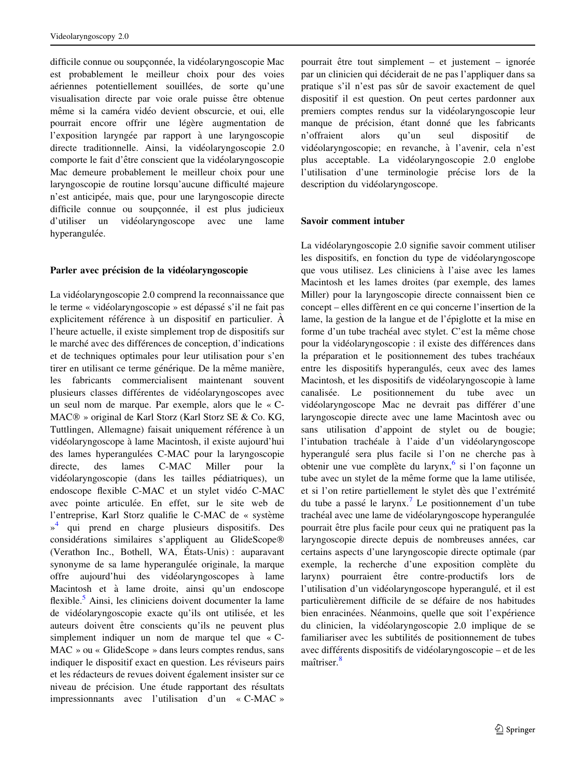difficile connue ou soupconnée, la vidéolaryngoscopie Mac est probablement le meilleur choix pour des voies aériennes potentiellement souillées, de sorte qu'une visualisation directe par voie orale puisse être obtenue même si la caméra vidéo devient obscurcie, et oui, elle pourrait encore offrir une légère augmentation de l'exposition laryngée par rapport à une laryngoscopie directe traditionnelle. Ainsi, la vidéolaryngoscopie 2.0 comporte le fait d'être conscient que la vidéolaryngoscopie Mac demeure probablement le meilleur choix pour une laryngoscopie de routine lorsqu'aucune difficulté majeure n'est anticipée, mais que, pour une laryngoscopie directe difficile connue ou soupçonnée, il est plus judicieux d'utiliser un vidéolaryngoscope avec une lame hyperangulée.

### Parler avec précision de la vidéolaryngoscopie

La vidéolaryngoscopie 2.0 comprend la reconnaissance que le terme « vidéolaryngoscopie » est dépassé s'il ne fait pas explicitement référence à un dispositif en particulier.  $\hat{A}$ l'heure actuelle, il existe simplement trop de dispositifs sur le marché avec des différences de conception, d'indications et de techniques optimales pour leur utilisation pour s'en tirer en utilisant ce terme générique. De la même manière, les fabricants commercialisent maintenant souvent plusieurs classes différentes de vidéolaryngoscopes avec un seul nom de marque. Par exemple, alors que le « C-MAC<sup>®</sup> » original de Karl Storz (Karl Storz SE & Co. KG, Tuttlingen, Allemagne) faisait uniquement référence à un vidéolaryngoscope à lame Macintosh, il existe aujourd'hui des lames hyperangulées C-MAC pour la laryngoscopie directe, des lames C-MAC Miller pour la vidéolaryngoscopie (dans les tailles pédiatriques), un endoscope flexible C-MAC et un stylet vidéo C-MAC avec pointe articulée. En effet, sur le site web de l'entreprise, Karl Storz qualifie le C-MAC de « système »<sup>[4](#page-6-0)</sup> qui prend en charge plusieurs dispositifs. Des considérations similaires s'appliquent au GlideScope® (Verathon Inc., Bothell, WA, États-Unis) : auparavant synonyme de sa lame hyperangulée originale, la marque offre aujourd'hui des vidéolaryngoscopes à lame Macintosh et à lame droite, ainsi qu'un endoscope flexible.<sup>[5](#page-6-0)</sup> Ainsi, les cliniciens doivent documenter la lame de vidéolaryngoscopie exacte qu'ils ont utilisée, et les auteurs doivent être conscients qu'ils ne peuvent plus simplement indiquer un nom de marque tel que « C-MAC » ou « GlideScope » dans leurs comptes rendus, sans indiquer le dispositif exact en question. Les réviseurs pairs et les rédacteurs de revues doivent également insister sur ce niveau de précision. Une étude rapportant des résultats impressionnants avec l'utilisation d'un « C-MAC »

pourrait être tout simplement – et justement – ignorée par un clinicien qui déciderait de ne pas l'appliquer dans sa pratique s'il n'est pas sûr de savoir exactement de quel dispositif il est question. On peut certes pardonner aux premiers comptes rendus sur la vidéolaryngoscopie leur manque de précision, étant donné que les fabricants n'offraient alors qu'un seul dispositif de vidéolaryngoscopie; en revanche, à l'avenir, cela n'est plus acceptable. La vidéolaryngoscopie 2.0 englobe l'utilisation d'une terminologie précise lors de la description du vidéolaryngoscope.

# Savoir comment intuber

La vidéolaryngoscopie 2.0 signifie savoir comment utiliser les dispositifs, en fonction du type de vidéolaryngoscope que vous utilisez. Les cliniciens à l'aise avec les lames Macintosh et les lames droites (par exemple, des lames Miller) pour la laryngoscopie directe connaissent bien ce concept – elles diffèrent en ce qui concerne l'insertion de la lame, la gestion de la langue et de l'épiglotte et la mise en forme d'un tube trachéal avec stylet. C'est la même chose pour la vidéolaryngoscopie : il existe des différences dans la préparation et le positionnement des tubes trachéaux entre les dispositifs hyperangulés, ceux avec des lames Macintosh, et les dispositifs de vidéolaryngoscopie à lame canalisée. Le positionnement du tube avec un vidéolaryngoscope Mac ne devrait pas différer d'une laryngoscopie directe avec une lame Macintosh avec ou sans utilisation d'appoint de stylet ou de bougie; l'intubation trachéale à l'aide d'un vidéolaryngoscope hyperangulé sera plus facile si l'on ne cherche pas à obtenir une vue complète du larynx,  $6 \sin$  $6 \sin$  l'on façonne un tube avec un stylet de la même forme que la lame utilisée, et si l'on retire partiellement le stylet dès que l'extrémité du tube a passé le larynx.<sup>[7](#page-6-0)</sup> Le positionnement d'un tube trachéal avec une lame de vidéolaryngoscope hyperangulée pourrait être plus facile pour ceux qui ne pratiquent pas la laryngoscopie directe depuis de nombreuses années, car certains aspects d'une laryngoscopie directe optimale (par exemple, la recherche d'une exposition complète du larynx) pourraient être contre-productifs lors de l'utilisation d'un vidéolaryngoscope hyperangulé, et il est particulièrement difficile de se défaire de nos habitudes bien enracinées. Néanmoins, quelle que soit l'expérience du clinicien, la vidéolaryngoscopie 2.0 implique de se familiariser avec les subtilités de positionnement de tubes avec différents dispositifs de vidéolaryngoscopie – et de les maîtriser.<sup>[8](#page-6-0)</sup>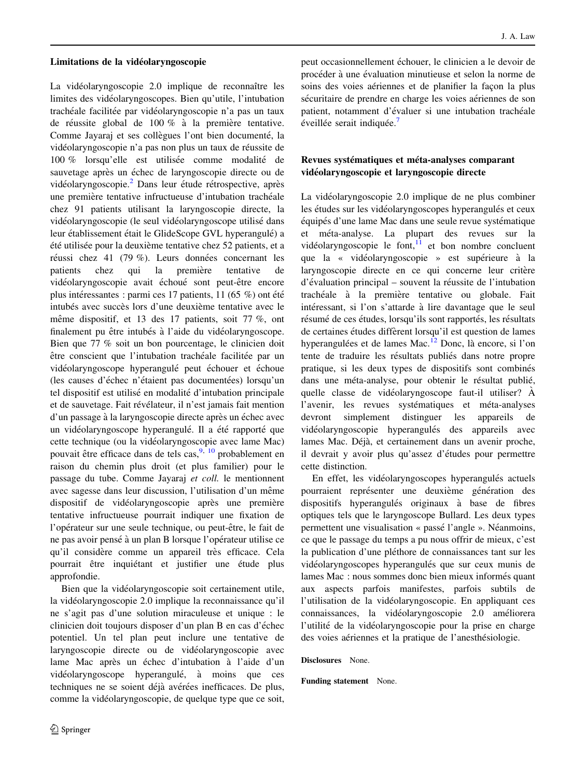## Limitations de la vidéolaryngoscopie

La vidéolaryngoscopie 2.0 implique de reconnaître les limites des vidéolaryngoscopes. Bien qu'utile, l'intubation trachéale facilitée par vidéolaryngoscopie n'a pas un taux de réussite global de 100 % à la première tentative. Comme Jayaraj et ses collègues l'ont bien documenté, la vidéolaryngoscopie n'a pas non plus un taux de réussite de 100 % lorsqu'elle est utilisée comme modalité de sauvetage après un échec de laryngoscopie directe ou de vidéolaryngoscopie. $^{2}$  $^{2}$  $^{2}$  Dans leur étude rétrospective, après une première tentative infructueuse d'intubation trachéale chez 91 patients utilisant la laryngoscopie directe, la vidéolaryngoscopie (le seul vidéolaryngoscope utilisé dans leur établissement était le GlideScope GVL hyperangulé) a été utilisée pour la deuxième tentative chez 52 patients, et a réussi chez 41 (79 %). Leurs données concernant les patients chez qui la première tentative de vidéolaryngoscopie avait échoué sont peut-être encore plus intéressantes : parmi ces 17 patients, 11 (65 %) ont été intubés avec succès lors d'une deuxième tentative avec le même dispositif, et 13 des 17 patients, soit 77  $\%$ , ont finalement pu être intubés à l'aide du vidéolaryngoscope. Bien que 77 % soit un bon pourcentage, le clinicien doit être conscient que l'intubation trachéale facilitée par un vidéolaryngoscope hyperangulé peut échouer et échoue (les causes d'échec n'étaient pas documentées) lorsqu'un tel dispositif est utilisé en modalité d'intubation principale et de sauvetage. Fait révélateur, il n'est jamais fait mention d'un passage à la laryngoscopie directe après un échec avec un vidéolaryngoscope hyperangulé. Il a été rapporté que cette technique (ou la vidéolaryngoscopie avec lame Mac) pouvait être efficace dans de tels cas,  $9, 10$  $9, 10$  $9, 10$  probablement en raison du chemin plus droit (et plus familier) pour le passage du tube. Comme Jayaraj et coll. le mentionnent avec sagesse dans leur discussion, l'utilisation d'un même dispositif de vidéolaryngoscopie après une première tentative infructueuse pourrait indiquer une fixation de l'opérateur sur une seule technique, ou peut-être, le fait de ne pas avoir pensé à un plan B lorsque l'opérateur utilise ce qu'il considère comme un appareil très efficace. Cela pourrait être inquiétant et justifier une étude plus approfondie.

Bien que la vidéolaryngoscopie soit certainement utile, la vidéolaryngoscopie 2.0 implique la reconnaissance qu'il ne s'agit pas d'une solution miraculeuse et unique : le clinicien doit toujours disposer d'un plan B en cas d'échec potentiel. Un tel plan peut inclure une tentative de laryngoscopie directe ou de vidéolaryngoscopie avec lame Mac après un échec d'intubation à l'aide d'un vidéolaryngoscope hyperangulé, à moins que ces techniques ne se soient déjà avérées inefficaces. De plus, comme la vidéolaryngoscopie, de quelque type que ce soit,

peut occasionnellement échouer, le clinicien a le devoir de procéder à une évaluation minutieuse et selon la norme de soins des voies aériennes et de planifier la façon la plus sécuritaire de prendre en charge les voies aériennes de son patient, notamment d'évaluer si une intubation trachéale  $\acute{e}$ veillée serait indiquée.<sup>[7](#page-6-0)</sup>

# Revues systématiques et méta-analyses comparant vidéolaryngoscopie et laryngoscopie directe

La vidéolaryngoscopie 2.0 implique de ne plus combiner les études sur les vidéolaryngoscopes hyperangulés et ceux équipés d'une lame Mac dans une seule revue systématique et me´ta-analyse. La plupart des revues sur la vidéolaryngoscopie le font, $\frac{11}{11}$  $\frac{11}{11}$  $\frac{11}{11}$  et bon nombre concluent que la « vidéolaryngoscopie » est supérieure à la laryngoscopie directe en ce qui concerne leur critère d'évaluation principal – souvent la réussite de l'intubation trachéale à la première tentative ou globale. Fait intéressant, si l'on s'attarde à lire davantage que le seul résumé de ces études, lorsqu'ils sont rapportés, les résultats de certaines études diffèrent lorsqu'il est question de lames hyperangulées et de lames Mac.<sup>[12](#page-6-0)</sup> Donc, là encore, si l'on tente de traduire les résultats publiés dans notre propre pratique, si les deux types de dispositifs sont combinés dans une méta-analyse, pour obtenir le résultat publié, quelle classe de vidéolaryngoscope faut-il utiliser?  $\hat{A}$ l'avenir, les revues systématiques et méta-analyses devront simplement distinguer les appareils de vidéolaryngoscopie hyperangulés des appareils avec lames Mac. Déjà, et certainement dans un avenir proche, il devrait y avoir plus qu'assez d'études pour permettre cette distinction.

En effet, les vidéolaryngoscopes hyperangulés actuels pourraient représenter une deuxième génération des dispositifs hyperangulés originaux à base de fibres optiques tels que le laryngoscope Bullard. Les deux types permettent une visualisation « passé l'angle ». Néanmoins, ce que le passage du temps a pu nous offrir de mieux, c'est la publication d'une pléthore de connaissances tant sur les vidéolaryngoscopes hyperangulés que sur ceux munis de lames Mac : nous sommes donc bien mieux informés quant aux aspects parfois manifestes, parfois subtils de l'utilisation de la vidéolaryngoscopie. En appliquant ces connaissances, la vidéolaryngoscopie 2.0 améliorera l'utilité de la vidéolaryngoscopie pour la prise en charge des voies aériennes et la pratique de l'anesthésiologie.

Disclosures None.

Funding statement None.